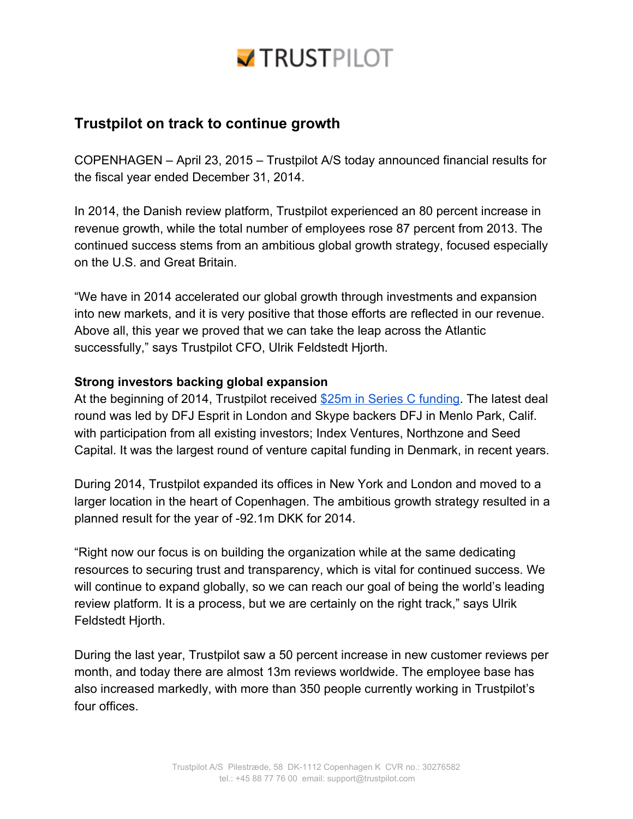# **TRUSTPILOT**

# **Trustpilot on track to continue growth**

COPENHAGEN – April 23, 2015 – Trustpilot A/S today announced financial results for the fiscal year ended December 31, 2014.

In 2014, the Danish review platform, Trustpilot experienced an 80 percent increase in revenue growth, while the total number of employees rose 87 percent from 2013. The continued success stems from an ambitious global growth strategy, focused especially on the U.S. and Great Britain.

"We have in 2014 accelerated our global growth through investments and expansion into new markets, and it is very positive that those efforts are reflected in our revenue. Above all, this year we proved that we can take the leap across the Atlantic successfully," says Trustpilot CFO, Ulrik Feldstedt Hjorth.

## **Strong investors backing global expansion**

At the beginning of 2014, Trustpilot received \$25m in Series C [funding.](http://blog.trustpilot.com/trustpilot-secures-25-million-funding-to-accelerate-growth/) The latest deal round was led by DFJ Esprit in London and Skype backers DFJ in Menlo Park, Calif. with participation from all existing investors; Index Ventures, Northzone and Seed Capital. It was the largest round of venture capital funding in Denmark, in recent years.

During 2014, Trustpilot expanded its offices in New York and London and moved to a larger location in the heart of Copenhagen. The ambitious growth strategy resulted in a planned result for the year of -92.1m DKK for 2014.

"Right now our focus is on building the organization while at the same dedicating resources to securing trust and transparency, which is vital for continued success. We will continue to expand globally, so we can reach our goal of being the world's leading review platform. It is a process, but we are certainly on the right track," says Ulrik Feldstedt Hjorth.

During the last year, Trustpilot saw a 50 percent increase in new customer reviews per month, and today there are almost 13m reviews worldwide. The employee base has also increased markedly, with more than 350 people currently working in Trustpilot's four offices.